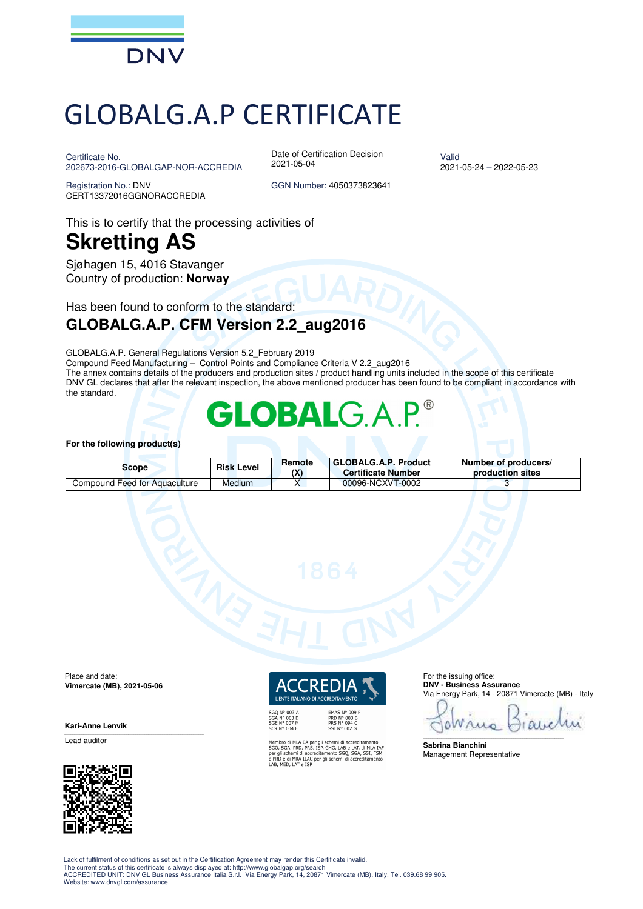

# GLOBALG.A.P CERTIFICATE

Certificate No. 202673-2016-GLOBALGAP-NOR-ACCREDIA

Date of Certification Decision 2021-05-04

Valid 2021-05-24 – 2022-05-23

Registration No.: DNV CERT13372016GGNORACCREDIA GGN Number: 4050373823641

### This is to certify that the processing activities of **Skretting AS**

Sjøhagen 15, 4016 Stavanger Country of production: **Norway**

Has been found to conform to the standard:

#### **GLOBALG.A.P. CFM Version 2.2\_aug2016**

GLOBALG.A.P. General Regulations Version 5.2\_February 2019

Compound Feed Manufacturing – Control Points and Compliance Criteria V 2.2\_aug2016 The annex contains details of the producers and production sites / product handling units included in the scope of this certificate DNV GL declares that after the relevant inspection, the above mentioned producer has been found to be compliant in accordance with the standard.

## LOBA

#### **For the following product(s)**

| Scope                         | <b>Risk Level</b> | Remote<br>νv. | GLOBALG.A.P. Product<br><b>Certificate Number</b> | Number of producers/<br><b>production sites</b> |
|-------------------------------|-------------------|---------------|---------------------------------------------------|-------------------------------------------------|
| Compound Feed for Aquaculture | Medium            |               | 00096-NCXVT-0002                                  |                                                 |

Place and date: **Vimercate (MB), 2021-05-06** 

**Kari-Anne Lenvik** 

Lead auditor



L'ENTE ITALIANO DI ACCREDITAMENTO

SGQ N° 003 A<br>SGA N° 003 D<br>SGE N° 007 M<br>SCR N° 004 F

EMAS N° 009 P<br>PRD N° 003 B<br>PRS N° 094 C<br>SSI N° 002 G

Membro di MLA EA per gli schemi di accreditamento<br>SGQ, SGA, PRD, PRS, ISP, GHG, LAB e LAT, di MLA IAF<br>per gli schemi di accreditamento SGQ, SGA, SSI, FSM<br>e PRD e di MRA ILAC per gli schemi di accreditamento<br>LAB, MED, LAT e

For the issuing office: **DNV - Business Assurance**  Via Energy Park, 14 - 20871 Vimercate (MB) - Italy

٥ ruo  $\int f(x)$ 

\_\_\_\_\_\_\_\_\_\_\_\_\_\_\_\_\_\_\_\_\_\_\_\_\_\_\_\_\_\_\_\_\_\_\_\_\_\_\_\_\_\_\_\_\_\_\_\_\_\_\_\_\_\_\_\_\_\_\_\_\_\_\_\_\_\_\_\_\_\_\_\_\_\_\_\_\_\_

**Sabrina Bianchini**  Management Representative